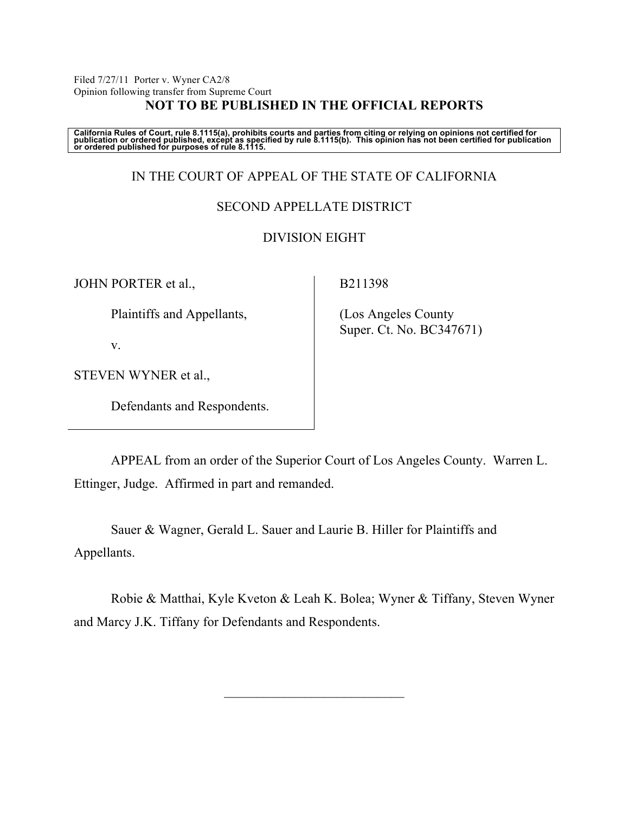Filed 7/27/11 Porter v. Wyner CA2/8 Opinion following transfer from Supreme Court **NOT TO BE PUBLISHED IN THE OFFICIAL REPORTS**

California Rules of Court, rule 8.1115(a), prohibits courts and parties from citing or relying on opinions not certified for<br>publication or ordered published, except as specified by rule 8.1115(b). This opinion has not be

# IN THE COURT OF APPEAL OF THE STATE OF CALIFORNIA

## SECOND APPELLATE DISTRICT

# DIVISION EIGHT

JOHN PORTER et al.,

B211398

Plaintiffs and Appellants,

v.

STEVEN WYNER et al.,

Defendants and Respondents.

 (Los Angeles County Super. Ct. No. BC347671)

APPEAL from an order of the Superior Court of Los Angeles County. Warren L. Ettinger, Judge. Affirmed in part and remanded.

Sauer & Wagner, Gerald L. Sauer and Laurie B. Hiller for Plaintiffs and Appellants.

Robie & Matthai, Kyle Kveton & Leah K. Bolea; Wyner & Tiffany, Steven Wyner and Marcy J.K. Tiffany for Defendants and Respondents.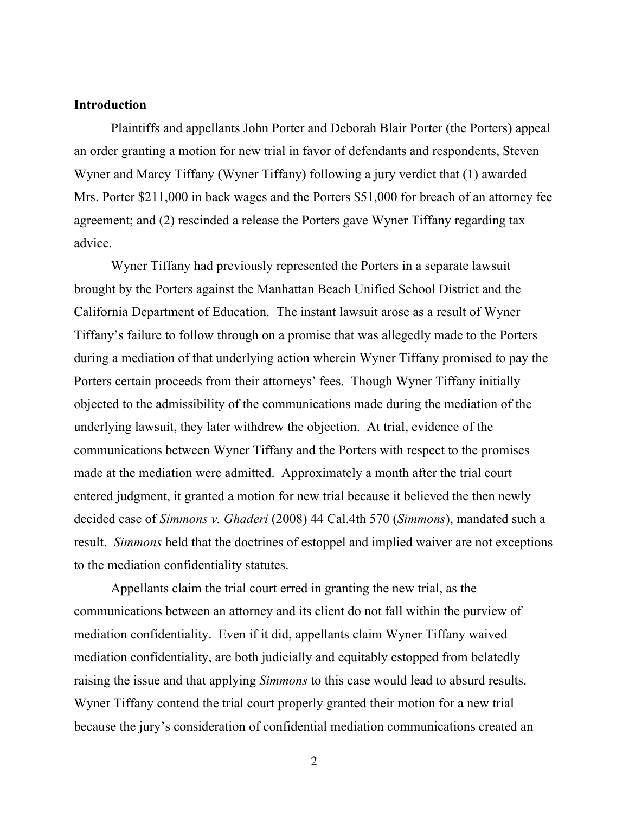#### **Introduction**

Plaintiffs and appellants John Porter and Deborah Blair Porter (the Porters) appeal an order granting a motion for new trial in favor of defendants and respondents, Steven Wyner and Marcy Tiffany (Wyner Tiffany) following a jury verdict that (1) awarded Mrs. Porter \$211,000 in back wages and the Porters \$51,000 for breach of an attorney fee agreement; and (2) rescinded a release the Porters gave Wyner Tiffany regarding tax advice.

Wyner Tiffany had previously represented the Porters in a separate lawsuit brought by the Porters against the Manhattan Beach Unified School District and the California Department of Education. The instant lawsuit arose as a result of Wyner Tiffany's failure to follow through on a promise that was allegedly made to the Porters during a mediation of that underlying action wherein Wyner Tiffany promised to pay the Porters certain proceeds from their attorneys' fees. Though Wyner Tiffany initially objected to the admissibility of the communications made during the mediation of the underlying lawsuit, they later withdrew the objection. At trial, evidence of the communications between Wyner Tiffany and the Porters with respect to the promises made at the mediation were admitted. Approximately a month after the trial court entered judgment, it granted a motion for new trial because it believed the then newly decided case of *Simmons v. Ghaderi* (2008) 44 Cal.4th 570 (*Simmons*), mandated such a result. *Simmons* held that the doctrines of estoppel and implied waiver are not exceptions to the mediation confidentiality statutes.

Appellants claim the trial court erred in granting the new trial, as the communications between an attorney and its client do not fall within the purview of mediation confidentiality. Even if it did, appellants claim Wyner Tiffany waived mediation confidentiality, are both judicially and equitably estopped from belatedly raising the issue and that applying *Simmons* to this case would lead to absurd results. Wyner Tiffany contend the trial court properly granted their motion for a new trial because the jury's consideration of confidential mediation communications created an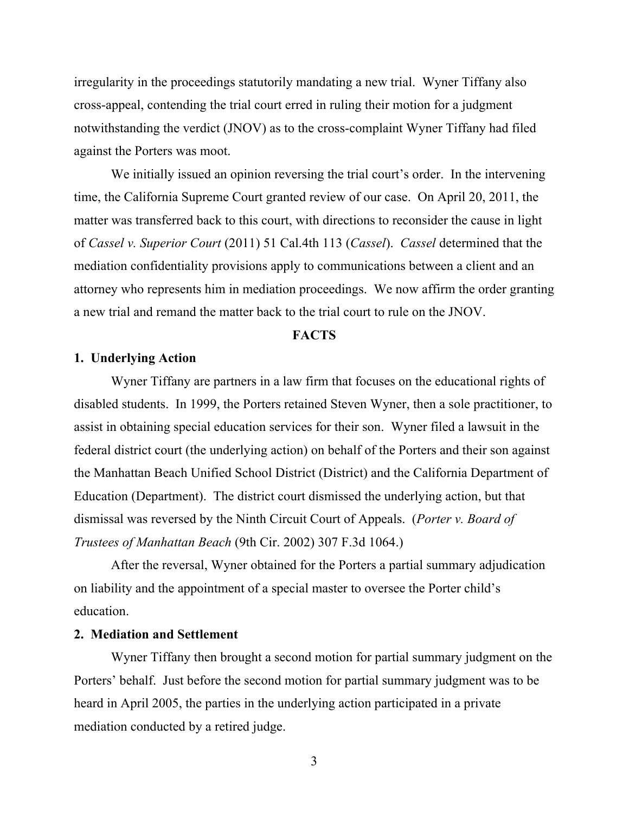irregularity in the proceedings statutorily mandating a new trial. Wyner Tiffany also cross-appeal, contending the trial court erred in ruling their motion for a judgment notwithstanding the verdict (JNOV) as to the cross-complaint Wyner Tiffany had filed against the Porters was moot.

We initially issued an opinion reversing the trial court's order. In the intervening time, the California Supreme Court granted review of our case. On April 20, 2011, the matter was transferred back to this court, with directions to reconsider the cause in light of *Cassel v. Superior Court* (2011) 51 Cal.4th 113 (*Cassel*). *Cassel* determined that the mediation confidentiality provisions apply to communications between a client and an attorney who represents him in mediation proceedings. We now affirm the order granting a new trial and remand the matter back to the trial court to rule on the JNOV.

# **FACTS**

## **1. Underlying Action**

Wyner Tiffany are partners in a law firm that focuses on the educational rights of disabled students. In 1999, the Porters retained Steven Wyner, then a sole practitioner, to assist in obtaining special education services for their son. Wyner filed a lawsuit in the federal district court (the underlying action) on behalf of the Porters and their son against the Manhattan Beach Unified School District (District) and the California Department of Education (Department). The district court dismissed the underlying action, but that dismissal was reversed by the Ninth Circuit Court of Appeals. (*Porter v. Board of Trustees of Manhattan Beach* (9th Cir. 2002) 307 F.3d 1064.)

After the reversal, Wyner obtained for the Porters a partial summary adjudication on liability and the appointment of a special master to oversee the Porter child's education.

### **2. Mediation and Settlement**

Wyner Tiffany then brought a second motion for partial summary judgment on the Porters' behalf. Just before the second motion for partial summary judgment was to be heard in April 2005, the parties in the underlying action participated in a private mediation conducted by a retired judge.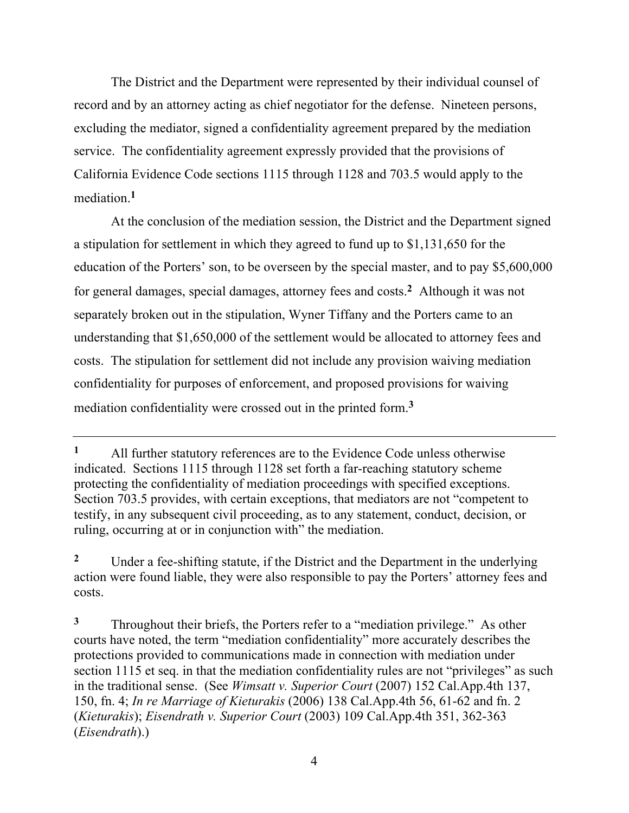The District and the Department were represented by their individual counsel of record and by an attorney acting as chief negotiator for the defense. Nineteen persons, excluding the mediator, signed a confidentiality agreement prepared by the mediation service. The confidentiality agreement expressly provided that the provisions of California Evidence Code sections 1115 through 1128 and 703.5 would apply to the mediation.**<sup>1</sup>**

At the conclusion of the mediation session, the District and the Department signed a stipulation for settlement in which they agreed to fund up to \$1,131,650 for the education of the Porters' son, to be overseen by the special master, and to pay \$5,600,000 for general damages, special damages, attorney fees and costs.**2** Although it was not separately broken out in the stipulation, Wyner Tiffany and the Porters came to an understanding that \$1,650,000 of the settlement would be allocated to attorney fees and costs. The stipulation for settlement did not include any provision waiving mediation confidentiality for purposes of enforcement, and proposed provisions for waiving mediation confidentiality were crossed out in the printed form.**<sup>3</sup>**

**<sup>1</sup>** All further statutory references are to the Evidence Code unless otherwise indicated. Sections 1115 through 1128 set forth a far-reaching statutory scheme protecting the confidentiality of mediation proceedings with specified exceptions. Section 703.5 provides, with certain exceptions, that mediators are not "competent to testify, in any subsequent civil proceeding, as to any statement, conduct, decision, or ruling, occurring at or in conjunction with" the mediation.

<sup>&</sup>lt;sup>2</sup> Under a fee-shifting statute, if the District and the Department in the underlying action were found liable, they were also responsible to pay the Porters' attorney fees and costs.

**<sup>3</sup>** Throughout their briefs, the Porters refer to a "mediation privilege." As other courts have noted, the term "mediation confidentiality" more accurately describes the protections provided to communications made in connection with mediation under section 1115 et seq. in that the mediation confidentiality rules are not "privileges" as such in the traditional sense. (See *Wimsatt v. Superior Court* (2007) 152 Cal.App.4th 137, 150, fn. 4; *In re Marriage of Kieturakis* (2006) 138 Cal.App.4th 56, 61-62 and fn. 2 (*Kieturakis*); *Eisendrath v. Superior Court* (2003) 109 Cal.App.4th 351, 362-363 (*Eisendrath*).)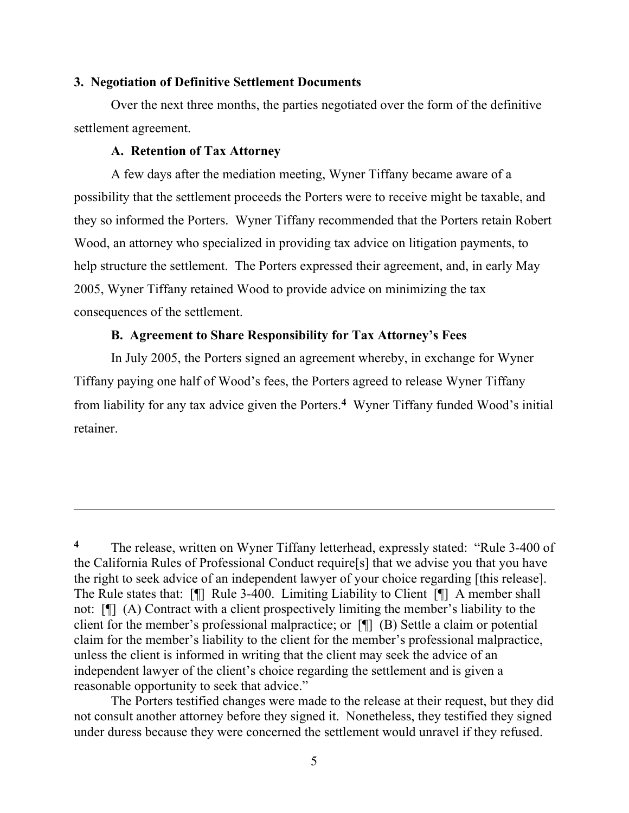#### **3. Negotiation of Definitive Settlement Documents**

Over the next three months, the parties negotiated over the form of the definitive settlement agreement.

#### **A. Retention of Tax Attorney**

 $\overline{a}$ 

A few days after the mediation meeting, Wyner Tiffany became aware of a possibility that the settlement proceeds the Porters were to receive might be taxable, and they so informed the Porters. Wyner Tiffany recommended that the Porters retain Robert Wood, an attorney who specialized in providing tax advice on litigation payments, to help structure the settlement. The Porters expressed their agreement, and, in early May 2005, Wyner Tiffany retained Wood to provide advice on minimizing the tax consequences of the settlement.

## **B. Agreement to Share Responsibility for Tax Attorney's Fees**

In July 2005, the Porters signed an agreement whereby, in exchange for Wyner Tiffany paying one half of Wood's fees, the Porters agreed to release Wyner Tiffany from liability for any tax advice given the Porters.**4** Wyner Tiffany funded Wood's initial retainer.

The Porters testified changes were made to the release at their request, but they did not consult another attorney before they signed it. Nonetheless, they testified they signed under duress because they were concerned the settlement would unravel if they refused.

<sup>&</sup>lt;sup>4</sup> The release, written on Wyner Tiffany letterhead, expressly stated: "Rule 3-400 of the California Rules of Professional Conduct require[s] that we advise you that you have the right to seek advice of an independent lawyer of your choice regarding [this release]. The Rule states that: [¶] Rule 3-400. Limiting Liability to Client [¶] A member shall not: [¶] (A) Contract with a client prospectively limiting the member's liability to the client for the member's professional malpractice; or [¶] (B) Settle a claim or potential claim for the member's liability to the client for the member's professional malpractice, unless the client is informed in writing that the client may seek the advice of an independent lawyer of the client's choice regarding the settlement and is given a reasonable opportunity to seek that advice."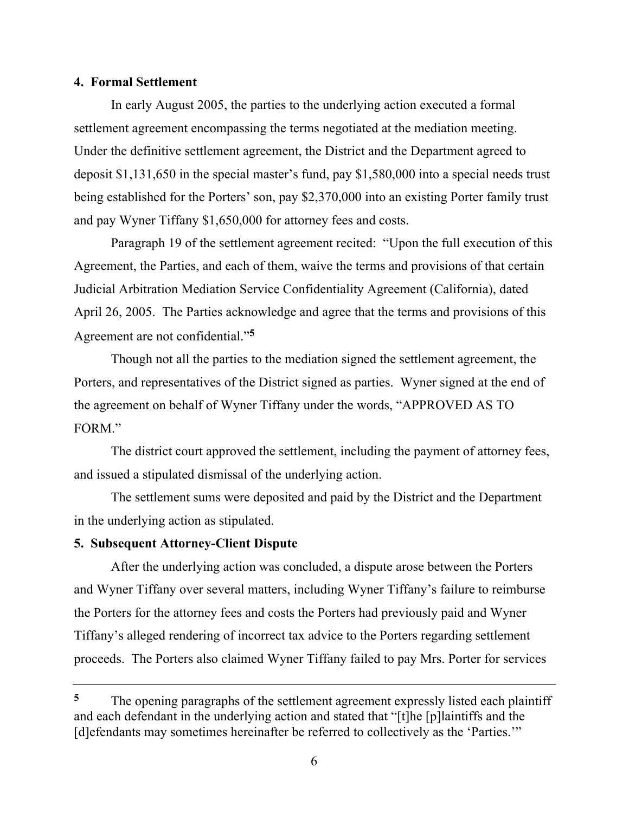### **4. Formal Settlement**

In early August 2005, the parties to the underlying action executed a formal settlement agreement encompassing the terms negotiated at the mediation meeting. Under the definitive settlement agreement, the District and the Department agreed to deposit \$1,131,650 in the special master's fund, pay \$1,580,000 into a special needs trust being established for the Porters' son, pay \$2,370,000 into an existing Porter family trust and pay Wyner Tiffany \$1,650,000 for attorney fees and costs.

Paragraph 19 of the settlement agreement recited: "Upon the full execution of this Agreement, the Parties, and each of them, waive the terms and provisions of that certain Judicial Arbitration Mediation Service Confidentiality Agreement (California), dated April 26, 2005. The Parties acknowledge and agree that the terms and provisions of this Agreement are not confidential."**<sup>5</sup>**

Though not all the parties to the mediation signed the settlement agreement, the Porters, and representatives of the District signed as parties. Wyner signed at the end of the agreement on behalf of Wyner Tiffany under the words, "APPROVED AS TO FORM."

The district court approved the settlement, including the payment of attorney fees, and issued a stipulated dismissal of the underlying action.

The settlement sums were deposited and paid by the District and the Department in the underlying action as stipulated.

## **5. Subsequent Attorney-Client Dispute**

After the underlying action was concluded, a dispute arose between the Porters and Wyner Tiffany over several matters, including Wyner Tiffany's failure to reimburse the Porters for the attorney fees and costs the Porters had previously paid and Wyner Tiffany's alleged rendering of incorrect tax advice to the Porters regarding settlement proceeds. The Porters also claimed Wyner Tiffany failed to pay Mrs. Porter for services

**<sup>5</sup>** The opening paragraphs of the settlement agreement expressly listed each plaintiff and each defendant in the underlying action and stated that "[t]he [p]laintiffs and the [d]efendants may sometimes hereinafter be referred to collectively as the 'Parties.'"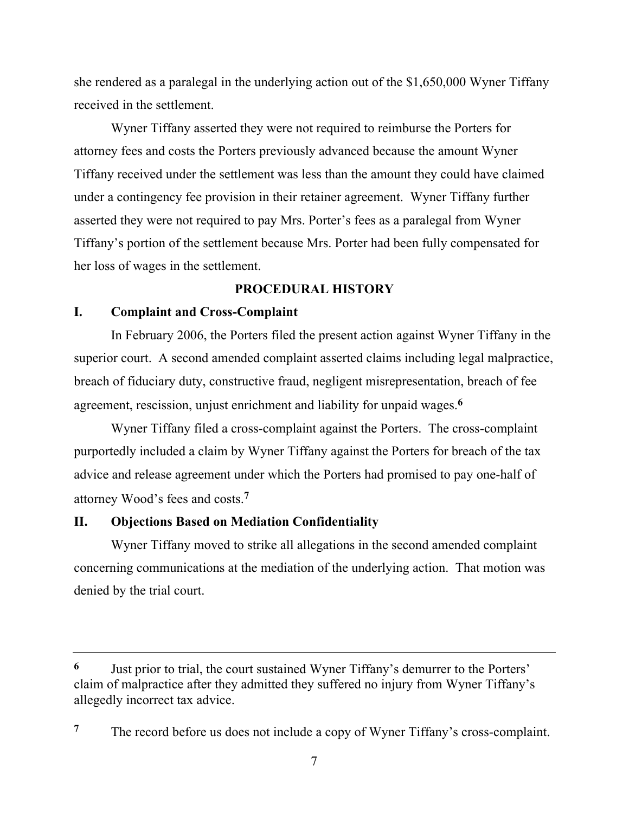she rendered as a paralegal in the underlying action out of the \$1,650,000 Wyner Tiffany received in the settlement.

Wyner Tiffany asserted they were not required to reimburse the Porters for attorney fees and costs the Porters previously advanced because the amount Wyner Tiffany received under the settlement was less than the amount they could have claimed under a contingency fee provision in their retainer agreement. Wyner Tiffany further asserted they were not required to pay Mrs. Porter's fees as a paralegal from Wyner Tiffany's portion of the settlement because Mrs. Porter had been fully compensated for her loss of wages in the settlement.

# **PROCEDURAL HISTORY**

# **I. Complaint and Cross-Complaint**

In February 2006, the Porters filed the present action against Wyner Tiffany in the superior court. A second amended complaint asserted claims including legal malpractice, breach of fiduciary duty, constructive fraud, negligent misrepresentation, breach of fee agreement, rescission, unjust enrichment and liability for unpaid wages.**<sup>6</sup>**

Wyner Tiffany filed a cross-complaint against the Porters. The cross-complaint purportedly included a claim by Wyner Tiffany against the Porters for breach of the tax advice and release agreement under which the Porters had promised to pay one-half of attorney Wood's fees and costs.**<sup>7</sup>**

# **II. Objections Based on Mediation Confidentiality**

Wyner Tiffany moved to strike all allegations in the second amended complaint concerning communications at the mediation of the underlying action. That motion was denied by the trial court.

**<sup>6</sup>** Just prior to trial, the court sustained Wyner Tiffany's demurrer to the Porters' claim of malpractice after they admitted they suffered no injury from Wyner Tiffany's allegedly incorrect tax advice.

**<sup>7</sup>** The record before us does not include a copy of Wyner Tiffany's cross-complaint.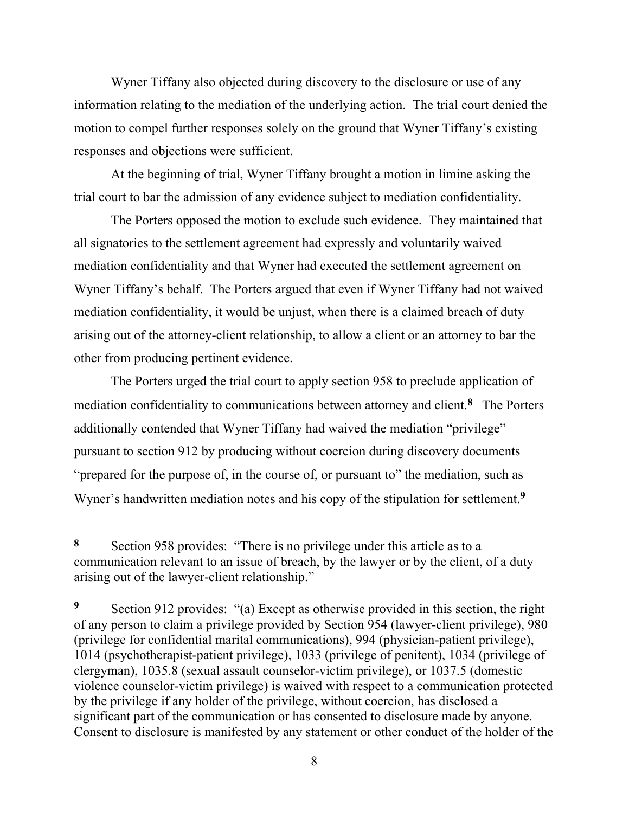Wyner Tiffany also objected during discovery to the disclosure or use of any information relating to the mediation of the underlying action. The trial court denied the motion to compel further responses solely on the ground that Wyner Tiffany's existing responses and objections were sufficient.

At the beginning of trial, Wyner Tiffany brought a motion in limine asking the trial court to bar the admission of any evidence subject to mediation confidentiality.

The Porters opposed the motion to exclude such evidence. They maintained that all signatories to the settlement agreement had expressly and voluntarily waived mediation confidentiality and that Wyner had executed the settlement agreement on Wyner Tiffany's behalf. The Porters argued that even if Wyner Tiffany had not waived mediation confidentiality, it would be unjust, when there is a claimed breach of duty arising out of the attorney-client relationship, to allow a client or an attorney to bar the other from producing pertinent evidence.

The Porters urged the trial court to apply section 958 to preclude application of mediation confidentiality to communications between attorney and client.**<sup>8</sup>** The Porters additionally contended that Wyner Tiffany had waived the mediation "privilege" pursuant to section 912 by producing without coercion during discovery documents "prepared for the purpose of, in the course of, or pursuant to" the mediation, such as Wyner's handwritten mediation notes and his copy of the stipulation for settlement.**<sup>9</sup>**

**<sup>8</sup>** Section 958 provides: "There is no privilege under this article as to a communication relevant to an issue of breach, by the lawyer or by the client, of a duty arising out of the lawyer-client relationship."

**<sup>9</sup>** Section 912 provides: "(a) Except as otherwise provided in this section, the right of any person to claim a privilege provided by Section 954 (lawyer-client privilege), 980 (privilege for confidential marital communications), 994 (physician-patient privilege), 1014 (psychotherapist-patient privilege), 1033 (privilege of penitent), 1034 (privilege of clergyman), 1035.8 (sexual assault counselor-victim privilege), or 1037.5 (domestic violence counselor-victim privilege) is waived with respect to a communication protected by the privilege if any holder of the privilege, without coercion, has disclosed a significant part of the communication or has consented to disclosure made by anyone. Consent to disclosure is manifested by any statement or other conduct of the holder of the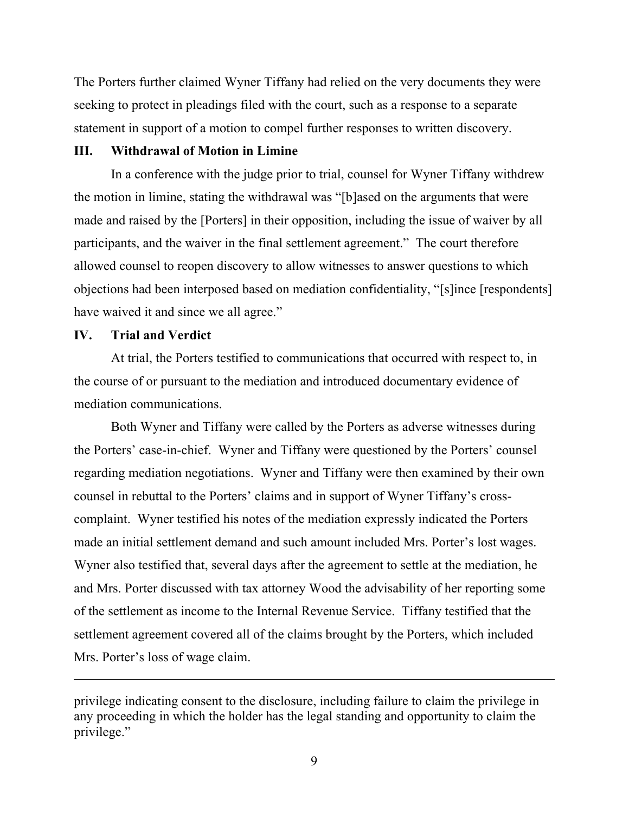The Porters further claimed Wyner Tiffany had relied on the very documents they were seeking to protect in pleadings filed with the court, such as a response to a separate statement in support of a motion to compel further responses to written discovery.

## **III. Withdrawal of Motion in Limine**

In a conference with the judge prior to trial, counsel for Wyner Tiffany withdrew the motion in limine, stating the withdrawal was "[b]ased on the arguments that were made and raised by the [Porters] in their opposition, including the issue of waiver by all participants, and the waiver in the final settlement agreement." The court therefore allowed counsel to reopen discovery to allow witnesses to answer questions to which objections had been interposed based on mediation confidentiality, "[s]ince [respondents] have waived it and since we all agree."

#### **IV. Trial and Verdict**

 $\overline{a}$ 

At trial, the Porters testified to communications that occurred with respect to, in the course of or pursuant to the mediation and introduced documentary evidence of mediation communications.

Both Wyner and Tiffany were called by the Porters as adverse witnesses during the Porters' case-in-chief. Wyner and Tiffany were questioned by the Porters' counsel regarding mediation negotiations. Wyner and Tiffany were then examined by their own counsel in rebuttal to the Porters' claims and in support of Wyner Tiffany's crosscomplaint. Wyner testified his notes of the mediation expressly indicated the Porters made an initial settlement demand and such amount included Mrs. Porter's lost wages. Wyner also testified that, several days after the agreement to settle at the mediation, he and Mrs. Porter discussed with tax attorney Wood the advisability of her reporting some of the settlement as income to the Internal Revenue Service. Tiffany testified that the settlement agreement covered all of the claims brought by the Porters, which included Mrs. Porter's loss of wage claim.

privilege indicating consent to the disclosure, including failure to claim the privilege in any proceeding in which the holder has the legal standing and opportunity to claim the privilege."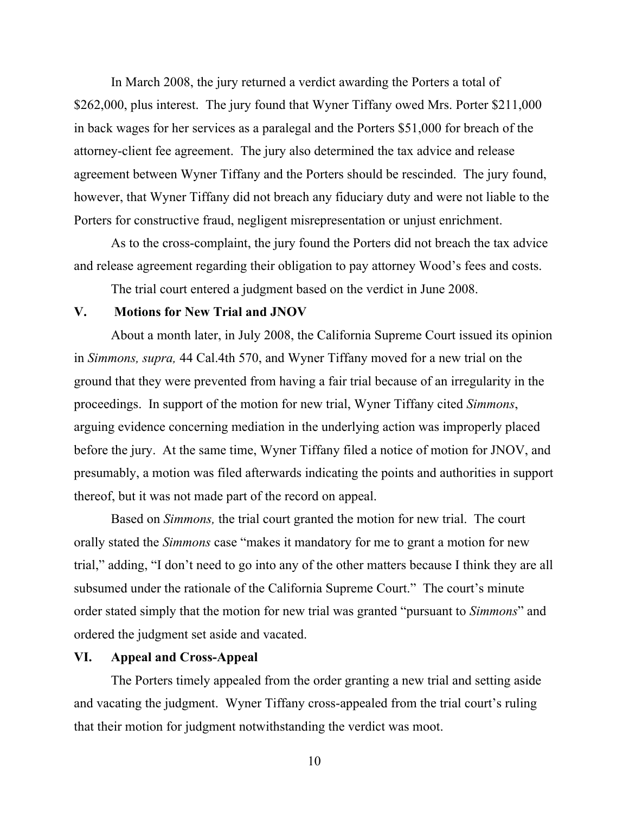In March 2008, the jury returned a verdict awarding the Porters a total of \$262,000, plus interest. The jury found that Wyner Tiffany owed Mrs. Porter \$211,000 in back wages for her services as a paralegal and the Porters \$51,000 for breach of the attorney-client fee agreement. The jury also determined the tax advice and release agreement between Wyner Tiffany and the Porters should be rescinded. The jury found, however, that Wyner Tiffany did not breach any fiduciary duty and were not liable to the Porters for constructive fraud, negligent misrepresentation or unjust enrichment.

As to the cross-complaint, the jury found the Porters did not breach the tax advice and release agreement regarding their obligation to pay attorney Wood's fees and costs.

The trial court entered a judgment based on the verdict in June 2008.

# **V. Motions for New Trial and JNOV**

About a month later, in July 2008, the California Supreme Court issued its opinion in *Simmons, supra,* 44 Cal.4th 570, and Wyner Tiffany moved for a new trial on the ground that they were prevented from having a fair trial because of an irregularity in the proceedings. In support of the motion for new trial, Wyner Tiffany cited *Simmons*, arguing evidence concerning mediation in the underlying action was improperly placed before the jury. At the same time, Wyner Tiffany filed a notice of motion for JNOV, and presumably, a motion was filed afterwards indicating the points and authorities in support thereof, but it was not made part of the record on appeal.

Based on *Simmons,* the trial court granted the motion for new trial. The court orally stated the *Simmons* case "makes it mandatory for me to grant a motion for new trial," adding, "I don't need to go into any of the other matters because I think they are all subsumed under the rationale of the California Supreme Court." The court's minute order stated simply that the motion for new trial was granted "pursuant to *Simmons*" and ordered the judgment set aside and vacated.

# **VI. Appeal and Cross-Appeal**

The Porters timely appealed from the order granting a new trial and setting aside and vacating the judgment. Wyner Tiffany cross-appealed from the trial court's ruling that their motion for judgment notwithstanding the verdict was moot.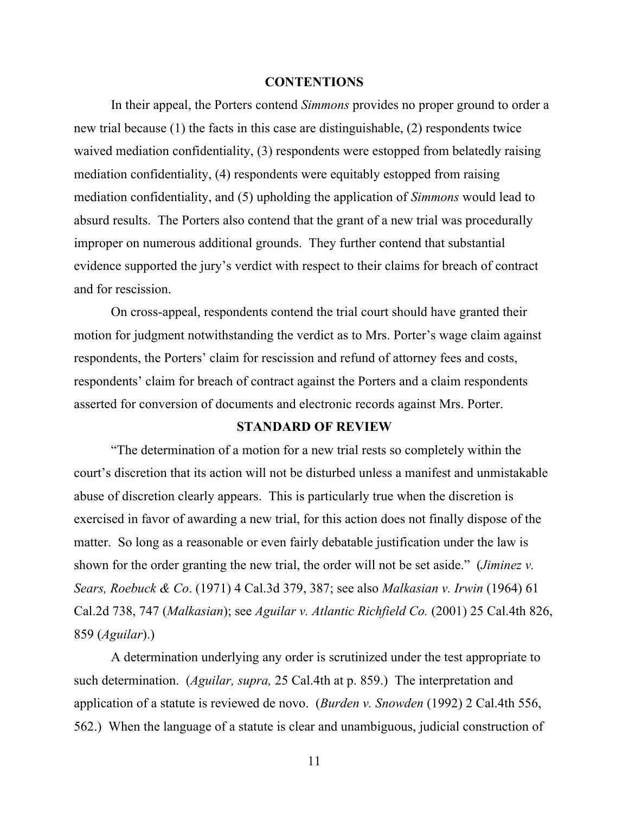#### **CONTENTIONS**

In their appeal, the Porters contend *Simmons* provides no proper ground to order a new trial because (1) the facts in this case are distinguishable, (2) respondents twice waived mediation confidentiality, (3) respondents were estopped from belatedly raising mediation confidentiality, (4) respondents were equitably estopped from raising mediation confidentiality, and (5) upholding the application of *Simmons* would lead to absurd results. The Porters also contend that the grant of a new trial was procedurally improper on numerous additional grounds. They further contend that substantial evidence supported the jury's verdict with respect to their claims for breach of contract and for rescission.

On cross-appeal, respondents contend the trial court should have granted their motion for judgment notwithstanding the verdict as to Mrs. Porter's wage claim against respondents, the Porters' claim for rescission and refund of attorney fees and costs, respondents' claim for breach of contract against the Porters and a claim respondents asserted for conversion of documents and electronic records against Mrs. Porter.

#### **STANDARD OF REVIEW**

"The determination of a motion for a new trial rests so completely within the court's discretion that its action will not be disturbed unless a manifest and unmistakable abuse of discretion clearly appears. This is particularly true when the discretion is exercised in favor of awarding a new trial, for this action does not finally dispose of the matter. So long as a reasonable or even fairly debatable justification under the law is shown for the order granting the new trial, the order will not be set aside." (*Jiminez v. Sears, Roebuck & Co*. (1971) 4 Cal.3d 379, 387; see also *Malkasian v. Irwin* (1964) 61 Cal.2d 738, 747 (*Malkasian*); see *Aguilar v. Atlantic Richfield Co.* (2001) 25 Cal.4th 826, 859 (*Aguilar*).)

A determination underlying any order is scrutinized under the test appropriate to such determination. (*Aguilar, supra,* 25 Cal.4th at p. 859.) The interpretation and application of a statute is reviewed de novo. (*Burden v. Snowden* (1992) 2 Cal.4th 556, 562.) When the language of a statute is clear and unambiguous, judicial construction of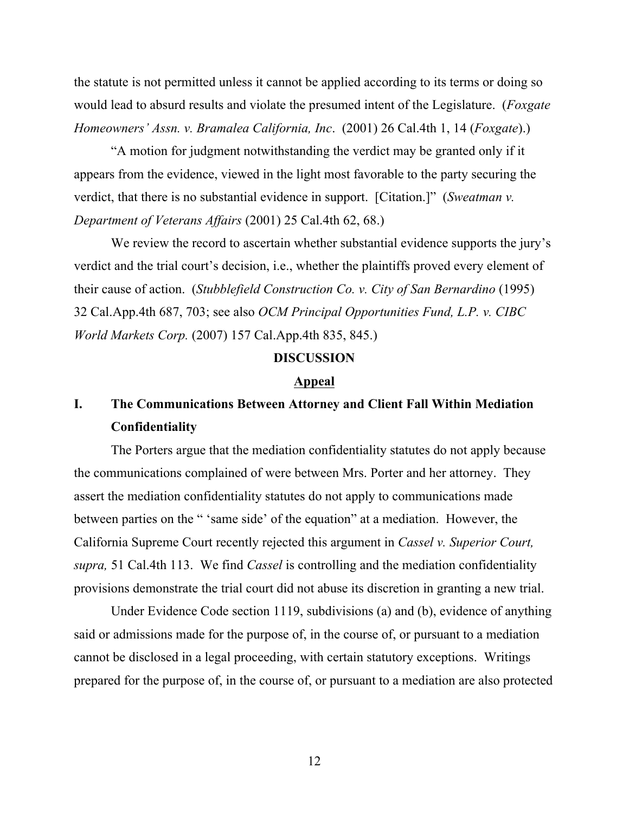the statute is not permitted unless it cannot be applied according to its terms or doing so would lead to absurd results and violate the presumed intent of the Legislature. (*Foxgate Homeowners' Assn. v. Bramalea California, Inc*. (2001) 26 Cal.4th 1, 14 (*Foxgate*).)

"A motion for judgment notwithstanding the verdict may be granted only if it appears from the evidence, viewed in the light most favorable to the party securing the verdict, that there is no substantial evidence in support. [Citation.]" (*Sweatman v. Department of Veterans Affairs* (2001) 25 Cal.4th 62, 68.)

We review the record to ascertain whether substantial evidence supports the jury's verdict and the trial court's decision, i.e., whether the plaintiffs proved every element of their cause of action. (*Stubblefield Construction Co. v. City of San Bernardino* (1995) 32 Cal.App.4th 687, 703; see also *OCM Principal Opportunities Fund, L.P. v. CIBC World Markets Corp.* (2007) 157 Cal.App.4th 835, 845.)

#### **DISCUSSION**

#### **Appeal**

# **I. The Communications Between Attorney and Client Fall Within Mediation Confidentiality**

The Porters argue that the mediation confidentiality statutes do not apply because the communications complained of were between Mrs. Porter and her attorney. They assert the mediation confidentiality statutes do not apply to communications made between parties on the " 'same side' of the equation" at a mediation. However, the California Supreme Court recently rejected this argument in *Cassel v. Superior Court, supra,* 51 Cal.4th 113. We find *Cassel* is controlling and the mediation confidentiality provisions demonstrate the trial court did not abuse its discretion in granting a new trial.

Under Evidence Code section 1119, subdivisions (a) and (b), evidence of anything said or admissions made for the purpose of, in the course of, or pursuant to a mediation cannot be disclosed in a legal proceeding, with certain statutory exceptions. Writings prepared for the purpose of, in the course of, or pursuant to a mediation are also protected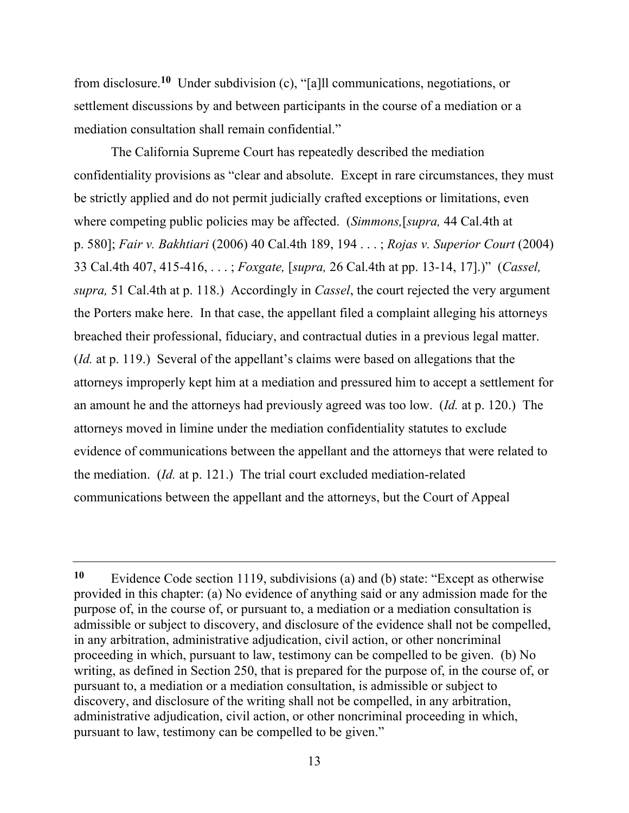from disclosure.**10** Under subdivision (c), "[a]ll communications, negotiations, or settlement discussions by and between participants in the course of a mediation or a mediation consultation shall remain confidential."

The California Supreme Court has repeatedly described the mediation confidentiality provisions as "clear and absolute. Except in rare circumstances, they must be strictly applied and do not permit judicially crafted exceptions or limitations, even where competing public policies may be affected. (*Simmons,*[*supra,* 44 Cal.4th at p. 580]; *Fair v. Bakhtiari* (2006) 40 Cal.4th 189, 194 . . . ; *Rojas v. Superior Court* (2004) 33 Cal.4th 407, 415-416, . . . ; *Foxgate,* [*supra,* 26 Cal.4th at pp. 13-14, 17].)" (*Cassel, supra,* 51 Cal.4th at p. 118.) Accordingly in *Cassel*, the court rejected the very argument the Porters make here. In that case, the appellant filed a complaint alleging his attorneys breached their professional, fiduciary, and contractual duties in a previous legal matter. (*Id.* at p. 119.) Several of the appellant's claims were based on allegations that the attorneys improperly kept him at a mediation and pressured him to accept a settlement for an amount he and the attorneys had previously agreed was too low. (*Id.* at p. 120.) The attorneys moved in limine under the mediation confidentiality statutes to exclude evidence of communications between the appellant and the attorneys that were related to the mediation. (*Id.* at p. 121.) The trial court excluded mediation-related communications between the appellant and the attorneys, but the Court of Appeal

**<sup>10</sup>** Evidence Code section 1119, subdivisions (a) and (b) state: "Except as otherwise provided in this chapter: (a) No evidence of anything said or any admission made for the purpose of, in the course of, or pursuant to, a mediation or a mediation consultation is admissible or subject to discovery, and disclosure of the evidence shall not be compelled, in any arbitration, administrative adjudication, civil action, or other noncriminal proceeding in which, pursuant to law, testimony can be compelled to be given. (b) No writing, as defined in Section 250, that is prepared for the purpose of, in the course of, or pursuant to, a mediation or a mediation consultation, is admissible or subject to discovery, and disclosure of the writing shall not be compelled, in any arbitration, administrative adjudication, civil action, or other noncriminal proceeding in which, pursuant to law, testimony can be compelled to be given."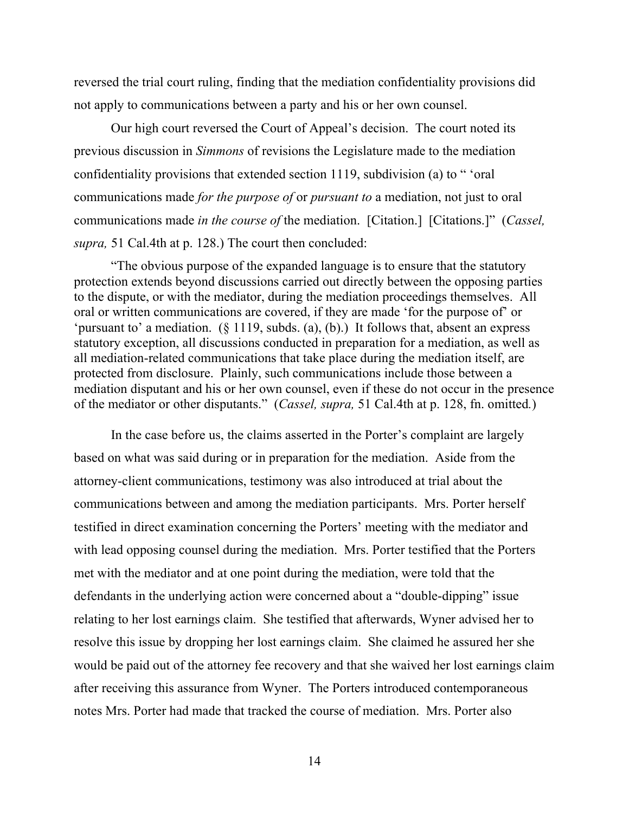reversed the trial court ruling, finding that the mediation confidentiality provisions did not apply to communications between a party and his or her own counsel.

Our high court reversed the Court of Appeal's decision. The court noted its previous discussion in *Simmons* of revisions the Legislature made to the mediation confidentiality provisions that extended section 1119, subdivision (a) to " 'oral communications made *for the purpose of* or *pursuant to* a mediation, not just to oral communications made *in the course of* the mediation. [Citation.] [Citations.]" (*Cassel, supra,* 51 Cal.4th at p. 128.) The court then concluded:

"The obvious purpose of the expanded language is to ensure that the statutory protection extends beyond discussions carried out directly between the opposing parties to the dispute, or with the mediator, during the mediation proceedings themselves. All oral or written communications are covered, if they are made 'for the purpose of' or 'pursuant to' a mediation. (§ 1119, subds. (a), (b).) It follows that, absent an express statutory exception, all discussions conducted in preparation for a mediation, as well as all mediation-related communications that take place during the mediation itself, are protected from disclosure. Plainly, such communications include those between a mediation disputant and his or her own counsel, even if these do not occur in the presence of the mediator or other disputants." (*Cassel, supra,* 51 Cal.4th at p. 128, fn. omitted*.*)

In the case before us, the claims asserted in the Porter's complaint are largely based on what was said during or in preparation for the mediation. Aside from the attorney-client communications, testimony was also introduced at trial about the communications between and among the mediation participants. Mrs. Porter herself testified in direct examination concerning the Porters' meeting with the mediator and with lead opposing counsel during the mediation. Mrs. Porter testified that the Porters met with the mediator and at one point during the mediation, were told that the defendants in the underlying action were concerned about a "double-dipping" issue relating to her lost earnings claim. She testified that afterwards, Wyner advised her to resolve this issue by dropping her lost earnings claim. She claimed he assured her she would be paid out of the attorney fee recovery and that she waived her lost earnings claim after receiving this assurance from Wyner. The Porters introduced contemporaneous notes Mrs. Porter had made that tracked the course of mediation. Mrs. Porter also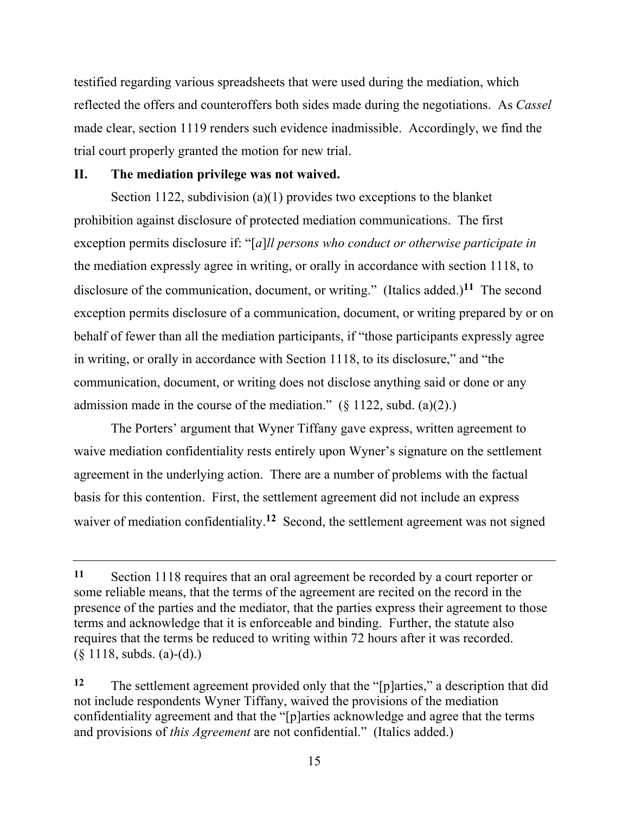testified regarding various spreadsheets that were used during the mediation, which reflected the offers and counteroffers both sides made during the negotiations. As *Cassel* made clear, section 1119 renders such evidence inadmissible. Accordingly, we find the trial court properly granted the motion for new trial.

#### **II. The mediation privilege was not waived.**

Section 1122, subdivision (a)(1) provides two exceptions to the blanket prohibition against disclosure of protected mediation communications. The first exception permits disclosure if: "[*a*]*ll persons who conduct or otherwise participate in* the mediation expressly agree in writing, or orally in accordance with section 1118, to disclosure of the communication, document, or writing." (Italics added.)**11** The second exception permits disclosure of a communication, document, or writing prepared by or on behalf of fewer than all the mediation participants, if "those participants expressly agree in writing, or orally in accordance with Section 1118, to its disclosure," and "the communication, document, or writing does not disclose anything said or done or any admission made in the course of the mediation."  $(\S 1122, \text{subd.} (a)(2))$ .

The Porters' argument that Wyner Tiffany gave express, written agreement to waive mediation confidentiality rests entirely upon Wyner's signature on the settlement agreement in the underlying action. There are a number of problems with the factual basis for this contention. First, the settlement agreement did not include an express waiver of mediation confidentiality.<sup>12</sup> Second, the settlement agreement was not signed

**<sup>11</sup>** Section 1118 requires that an oral agreement be recorded by a court reporter or some reliable means, that the terms of the agreement are recited on the record in the presence of the parties and the mediator, that the parties express their agreement to those terms and acknowledge that it is enforceable and binding. Further, the statute also requires that the terms be reduced to writing within 72 hours after it was recorded.  $(\S 1118, \text{subds. (a)-(d))})$ 

**<sup>12</sup>** The settlement agreement provided only that the "[p]arties," a description that did not include respondents Wyner Tiffany, waived the provisions of the mediation confidentiality agreement and that the "[p]arties acknowledge and agree that the terms and provisions of *this Agreement* are not confidential." (Italics added.)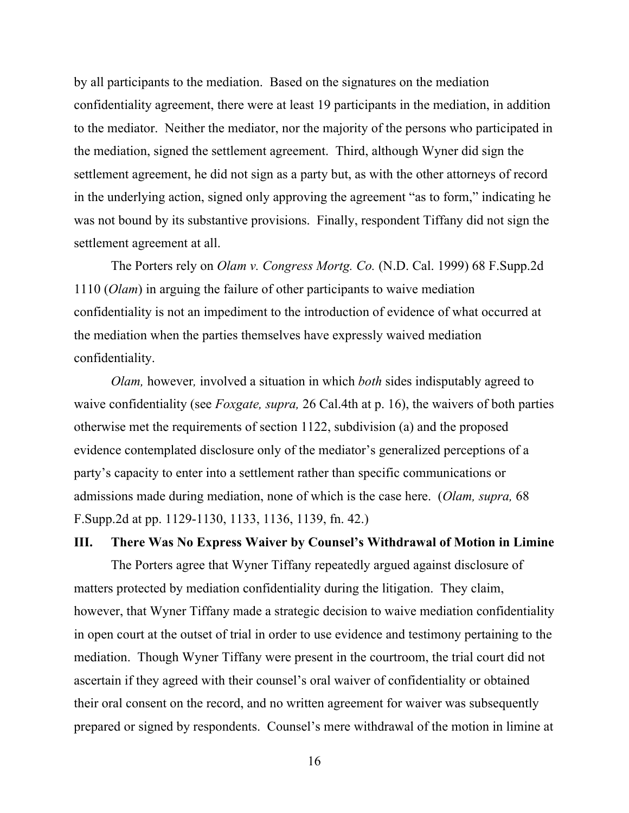by all participants to the mediation. Based on the signatures on the mediation confidentiality agreement, there were at least 19 participants in the mediation, in addition to the mediator. Neither the mediator, nor the majority of the persons who participated in the mediation, signed the settlement agreement. Third, although Wyner did sign the settlement agreement, he did not sign as a party but, as with the other attorneys of record in the underlying action, signed only approving the agreement "as to form," indicating he was not bound by its substantive provisions. Finally, respondent Tiffany did not sign the settlement agreement at all.

The Porters rely on *Olam v. Congress Mortg. Co.* (N.D. Cal. 1999) 68 F.Supp.2d 1110 (*Olam*) in arguing the failure of other participants to waive mediation confidentiality is not an impediment to the introduction of evidence of what occurred at the mediation when the parties themselves have expressly waived mediation confidentiality.

*Olam,* however*,* involved a situation in which *both* sides indisputably agreed to waive confidentiality (see *Foxgate, supra,* 26 Cal.4th at p. 16), the waivers of both parties otherwise met the requirements of section 1122, subdivision (a) and the proposed evidence contemplated disclosure only of the mediator's generalized perceptions of a party's capacity to enter into a settlement rather than specific communications or admissions made during mediation, none of which is the case here. (*Olam, supra,* 68 F.Supp.2d at pp. 1129-1130, 1133, 1136, 1139, fn. 42.)

#### **III. There Was No Express Waiver by Counsel's Withdrawal of Motion in Limine**

The Porters agree that Wyner Tiffany repeatedly argued against disclosure of matters protected by mediation confidentiality during the litigation. They claim, however, that Wyner Tiffany made a strategic decision to waive mediation confidentiality in open court at the outset of trial in order to use evidence and testimony pertaining to the mediation. Though Wyner Tiffany were present in the courtroom, the trial court did not ascertain if they agreed with their counsel's oral waiver of confidentiality or obtained their oral consent on the record, and no written agreement for waiver was subsequently prepared or signed by respondents. Counsel's mere withdrawal of the motion in limine at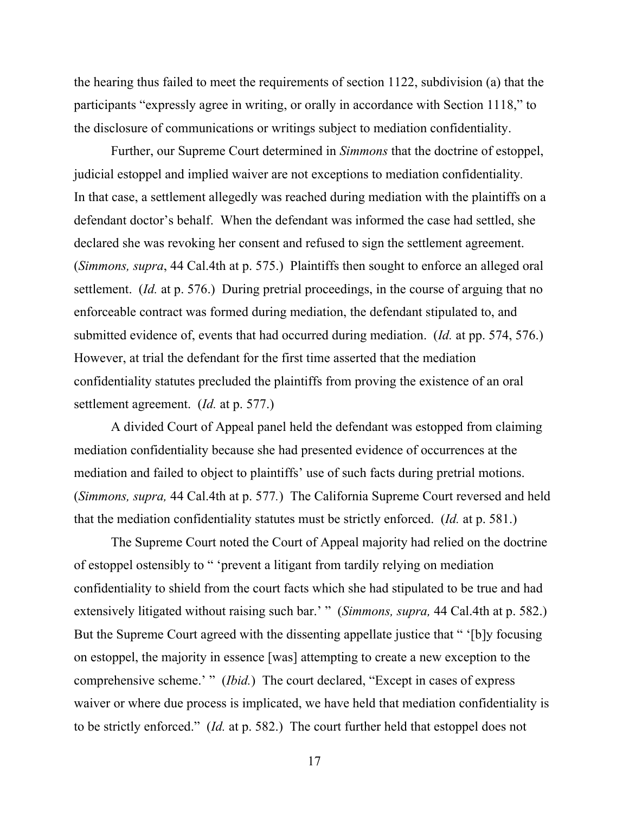the hearing thus failed to meet the requirements of section 1122, subdivision (a) that the participants "expressly agree in writing, or orally in accordance with Section 1118," to the disclosure of communications or writings subject to mediation confidentiality.

Further, our Supreme Court determined in *Simmons* that the doctrine of estoppel, judicial estoppel and implied waiver are not exceptions to mediation confidentiality*.* In that case, a settlement allegedly was reached during mediation with the plaintiffs on a defendant doctor's behalf. When the defendant was informed the case had settled, she declared she was revoking her consent and refused to sign the settlement agreement. (*Simmons, supra*, 44 Cal.4th at p. 575.) Plaintiffs then sought to enforce an alleged oral settlement. (*Id.* at p. 576.) During pretrial proceedings, in the course of arguing that no enforceable contract was formed during mediation, the defendant stipulated to, and submitted evidence of, events that had occurred during mediation. (*Id.* at pp. 574, 576.) However, at trial the defendant for the first time asserted that the mediation confidentiality statutes precluded the plaintiffs from proving the existence of an oral settlement agreement. (*Id.* at p. 577.)

A divided Court of Appeal panel held the defendant was estopped from claiming mediation confidentiality because she had presented evidence of occurrences at the mediation and failed to object to plaintiffs' use of such facts during pretrial motions. (*Simmons, supra,* 44 Cal.4th at p. 577*.*) The California Supreme Court reversed and held that the mediation confidentiality statutes must be strictly enforced. (*Id.* at p. 581.)

The Supreme Court noted the Court of Appeal majority had relied on the doctrine of estoppel ostensibly to " 'prevent a litigant from tardily relying on mediation confidentiality to shield from the court facts which she had stipulated to be true and had extensively litigated without raising such bar.' " (*Simmons, supra,* 44 Cal.4th at p. 582.) But the Supreme Court agreed with the dissenting appellate justice that " '[b]y focusing on estoppel, the majority in essence [was] attempting to create a new exception to the comprehensive scheme.' " *(Ibid.)* The court declared, "Except in cases of express waiver or where due process is implicated, we have held that mediation confidentiality is to be strictly enforced." (*Id.* at p. 582.) The court further held that estoppel does not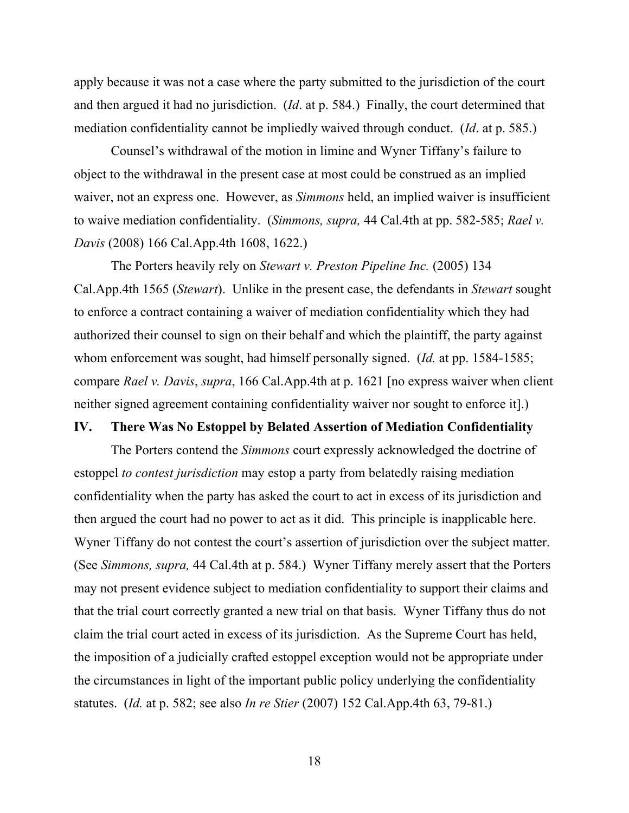apply because it was not a case where the party submitted to the jurisdiction of the court and then argued it had no jurisdiction. (*Id*. at p. 584.) Finally, the court determined that mediation confidentiality cannot be impliedly waived through conduct. (*Id*. at p. 585.)

Counsel's withdrawal of the motion in limine and Wyner Tiffany's failure to object to the withdrawal in the present case at most could be construed as an implied waiver, not an express one. However, as *Simmons* held, an implied waiver is insufficient to waive mediation confidentiality. (*Simmons, supra,* 44 Cal.4th at pp. 582-585; *Rael v. Davis* (2008) 166 Cal.App.4th 1608, 1622.)

The Porters heavily rely on *Stewart v. Preston Pipeline Inc.* (2005) 134 Cal.App.4th 1565 (*Stewart*). Unlike in the present case, the defendants in *Stewart* sought to enforce a contract containing a waiver of mediation confidentiality which they had authorized their counsel to sign on their behalf and which the plaintiff, the party against whom enforcement was sought, had himself personally signed. (*Id.* at pp. 1584-1585; compare *Rael v. Davis*, *supra*, 166 Cal.App.4th at p. 1621 [no express waiver when client neither signed agreement containing confidentiality waiver nor sought to enforce it].)

#### **IV. There Was No Estoppel by Belated Assertion of Mediation Confidentiality**

The Porters contend the *Simmons* court expressly acknowledged the doctrine of estoppel *to contest jurisdiction* may estop a party from belatedly raising mediation confidentiality when the party has asked the court to act in excess of its jurisdiction and then argued the court had no power to act as it did. This principle is inapplicable here. Wyner Tiffany do not contest the court's assertion of jurisdiction over the subject matter. (See *Simmons, supra,* 44 Cal.4th at p. 584.) Wyner Tiffany merely assert that the Porters may not present evidence subject to mediation confidentiality to support their claims and that the trial court correctly granted a new trial on that basis. Wyner Tiffany thus do not claim the trial court acted in excess of its jurisdiction. As the Supreme Court has held, the imposition of a judicially crafted estoppel exception would not be appropriate under the circumstances in light of the important public policy underlying the confidentiality statutes. (*Id.* at p. 582; see also *In re Stier* (2007) 152 Cal.App.4th 63, 79-81.)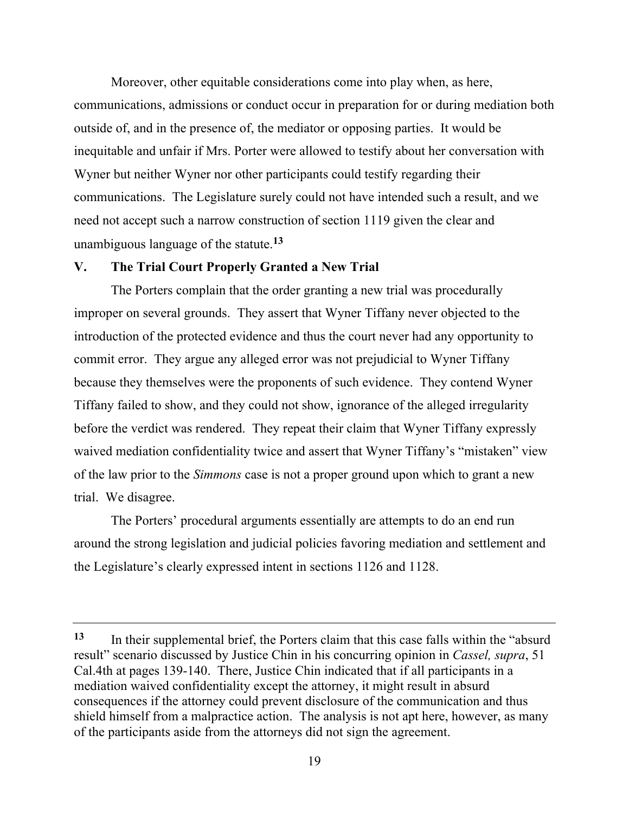Moreover, other equitable considerations come into play when, as here, communications, admissions or conduct occur in preparation for or during mediation both outside of, and in the presence of, the mediator or opposing parties. It would be inequitable and unfair if Mrs. Porter were allowed to testify about her conversation with Wyner but neither Wyner nor other participants could testify regarding their communications. The Legislature surely could not have intended such a result, and we need not accept such a narrow construction of section 1119 given the clear and unambiguous language of the statute.**<sup>13</sup>**

# **V. The Trial Court Properly Granted a New Trial**

The Porters complain that the order granting a new trial was procedurally improper on several grounds. They assert that Wyner Tiffany never objected to the introduction of the protected evidence and thus the court never had any opportunity to commit error. They argue any alleged error was not prejudicial to Wyner Tiffany because they themselves were the proponents of such evidence. They contend Wyner Tiffany failed to show, and they could not show, ignorance of the alleged irregularity before the verdict was rendered. They repeat their claim that Wyner Tiffany expressly waived mediation confidentiality twice and assert that Wyner Tiffany's "mistaken" view of the law prior to the *Simmons* case is not a proper ground upon which to grant a new trial. We disagree.

The Porters' procedural arguments essentially are attempts to do an end run around the strong legislation and judicial policies favoring mediation and settlement and the Legislature's clearly expressed intent in sections 1126 and 1128.

**<sup>13</sup>** In their supplemental brief, the Porters claim that this case falls within the "absurd result" scenario discussed by Justice Chin in his concurring opinion in *Cassel, supra*, 51 Cal.4th at pages 139-140. There, Justice Chin indicated that if all participants in a mediation waived confidentiality except the attorney, it might result in absurd consequences if the attorney could prevent disclosure of the communication and thus shield himself from a malpractice action. The analysis is not apt here, however, as many of the participants aside from the attorneys did not sign the agreement.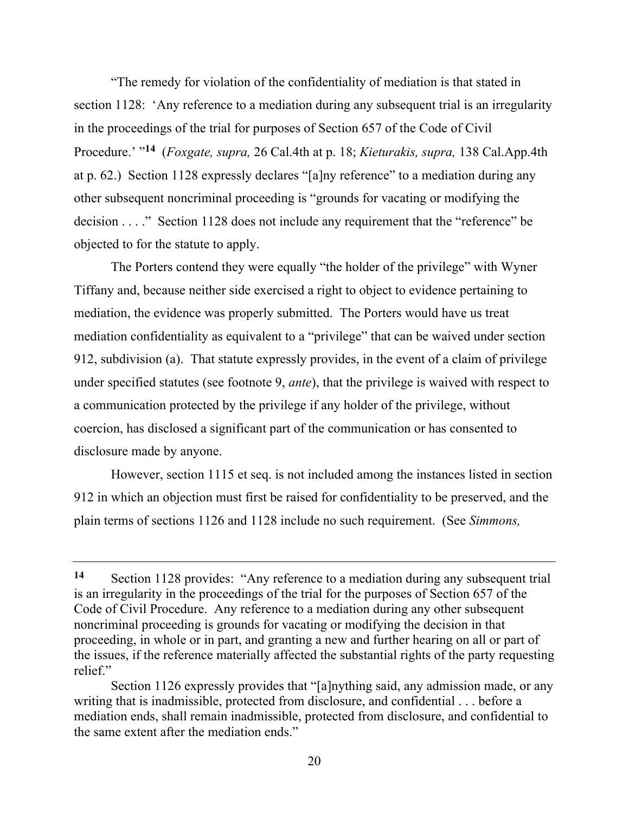"The remedy for violation of the confidentiality of mediation is that stated in section 1128: 'Any reference to a mediation during any subsequent trial is an irregularity in the proceedings of the trial for purposes of Section 657 of the Code of Civil Procedure.' "**14** (*Foxgate, supra,* 26 Cal.4th at p. 18; *Kieturakis, supra,* 138 Cal.App.4th at p. 62.) Section 1128 expressly declares "[a]ny reference" to a mediation during any other subsequent noncriminal proceeding is "grounds for vacating or modifying the decision . . . ." Section 1128 does not include any requirement that the "reference" be objected to for the statute to apply.

The Porters contend they were equally "the holder of the privilege" with Wyner Tiffany and, because neither side exercised a right to object to evidence pertaining to mediation, the evidence was properly submitted. The Porters would have us treat mediation confidentiality as equivalent to a "privilege" that can be waived under section 912, subdivision (a). That statute expressly provides, in the event of a claim of privilege under specified statutes (see footnote 9, *ante*), that the privilege is waived with respect to a communication protected by the privilege if any holder of the privilege, without coercion, has disclosed a significant part of the communication or has consented to disclosure made by anyone.

However, section 1115 et seq. is not included among the instances listed in section 912 in which an objection must first be raised for confidentiality to be preserved, and the plain terms of sections 1126 and 1128 include no such requirement. (See *Simmons,* 

**<sup>14</sup>** Section 1128 provides: "Any reference to a mediation during any subsequent trial is an irregularity in the proceedings of the trial for the purposes of Section 657 of the Code of Civil Procedure. Any reference to a mediation during any other subsequent noncriminal proceeding is grounds for vacating or modifying the decision in that proceeding, in whole or in part, and granting a new and further hearing on all or part of the issues, if the reference materially affected the substantial rights of the party requesting relief"

Section 1126 expressly provides that "[a]nything said, any admission made, or any writing that is inadmissible, protected from disclosure, and confidential . . . before a mediation ends, shall remain inadmissible, protected from disclosure, and confidential to the same extent after the mediation ends."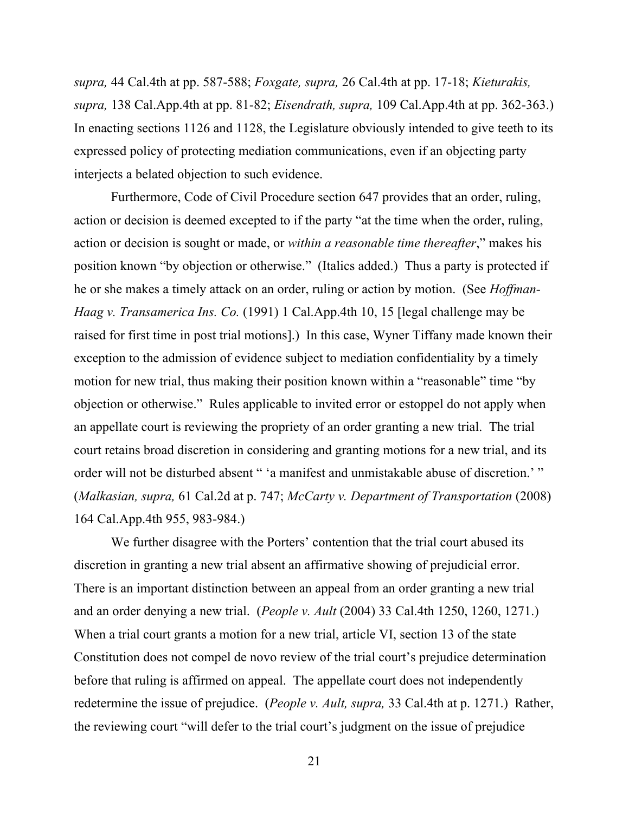*supra,* 44 Cal.4th at pp. 587-588; *Foxgate, supra,* 26 Cal.4th at pp. 17-18; *Kieturakis, supra,* 138 Cal.App.4th at pp. 81-82; *Eisendrath, supra,* 109 Cal.App.4th at pp. 362-363.) In enacting sections 1126 and 1128, the Legislature obviously intended to give teeth to its expressed policy of protecting mediation communications, even if an objecting party interjects a belated objection to such evidence.

Furthermore, Code of Civil Procedure section 647 provides that an order, ruling, action or decision is deemed excepted to if the party "at the time when the order, ruling, action or decision is sought or made, or *within a reasonable time thereafter*," makes his position known "by objection or otherwise." (Italics added.) Thus a party is protected if he or she makes a timely attack on an order, ruling or action by motion. (See *Hoffman-Haag v. Transamerica Ins. Co.* (1991) 1 Cal.App.4th 10, 15 [legal challenge may be raised for first time in post trial motions].) In this case, Wyner Tiffany made known their exception to the admission of evidence subject to mediation confidentiality by a timely motion for new trial, thus making their position known within a "reasonable" time "by objection or otherwise." Rules applicable to invited error or estoppel do not apply when an appellate court is reviewing the propriety of an order granting a new trial. The trial court retains broad discretion in considering and granting motions for a new trial, and its order will not be disturbed absent " 'a manifest and unmistakable abuse of discretion.' " (*Malkasian, supra,* 61 Cal.2d at p. 747; *McCarty v. Department of Transportation* (2008) 164 Cal.App.4th 955, 983-984.)

We further disagree with the Porters' contention that the trial court abused its discretion in granting a new trial absent an affirmative showing of prejudicial error. There is an important distinction between an appeal from an order granting a new trial and an order denying a new trial. (*People v. Ault* (2004) 33 Cal.4th 1250, 1260, 1271.) When a trial court grants a motion for a new trial, article VI, section 13 of the state Constitution does not compel de novo review of the trial court's prejudice determination before that ruling is affirmed on appeal. The appellate court does not independently redetermine the issue of prejudice. (*People v. Ault, supra,* 33 Cal.4th at p. 1271.) Rather, the reviewing court "will defer to the trial court's judgment on the issue of prejudice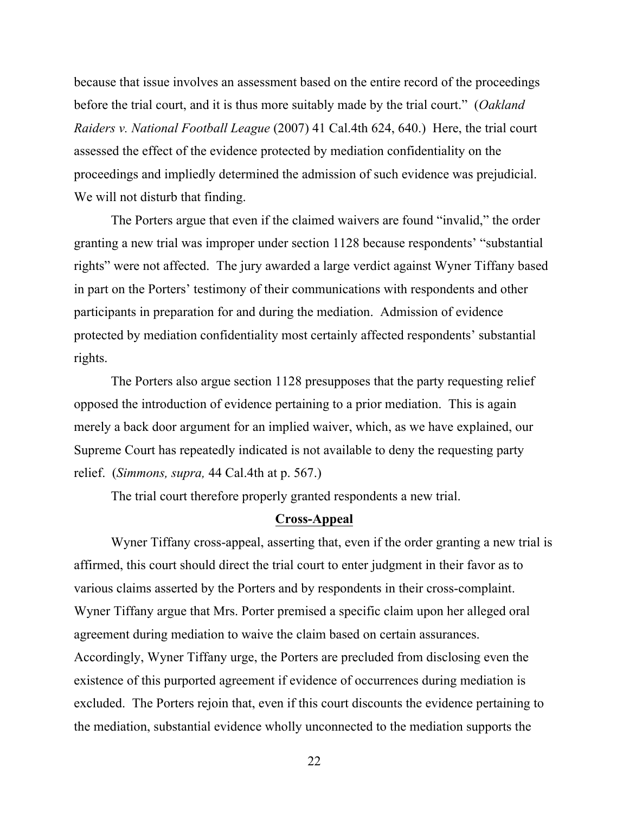because that issue involves an assessment based on the entire record of the proceedings before the trial court, and it is thus more suitably made by the trial court." (*Oakland Raiders v. National Football League* (2007) 41 Cal.4th 624, 640.) Here, the trial court assessed the effect of the evidence protected by mediation confidentiality on the proceedings and impliedly determined the admission of such evidence was prejudicial. We will not disturb that finding.

The Porters argue that even if the claimed waivers are found "invalid," the order granting a new trial was improper under section 1128 because respondents' "substantial rights" were not affected. The jury awarded a large verdict against Wyner Tiffany based in part on the Porters' testimony of their communications with respondents and other participants in preparation for and during the mediation. Admission of evidence protected by mediation confidentiality most certainly affected respondents' substantial rights.

The Porters also argue section 1128 presupposes that the party requesting relief opposed the introduction of evidence pertaining to a prior mediation. This is again merely a back door argument for an implied waiver, which, as we have explained, our Supreme Court has repeatedly indicated is not available to deny the requesting party relief. (*Simmons, supra,* 44 Cal.4th at p. 567.)

The trial court therefore properly granted respondents a new trial.

## **Cross-Appeal**

Wyner Tiffany cross-appeal, asserting that, even if the order granting a new trial is affirmed, this court should direct the trial court to enter judgment in their favor as to various claims asserted by the Porters and by respondents in their cross-complaint. Wyner Tiffany argue that Mrs. Porter premised a specific claim upon her alleged oral agreement during mediation to waive the claim based on certain assurances. Accordingly, Wyner Tiffany urge, the Porters are precluded from disclosing even the existence of this purported agreement if evidence of occurrences during mediation is excluded. The Porters rejoin that, even if this court discounts the evidence pertaining to the mediation, substantial evidence wholly unconnected to the mediation supports the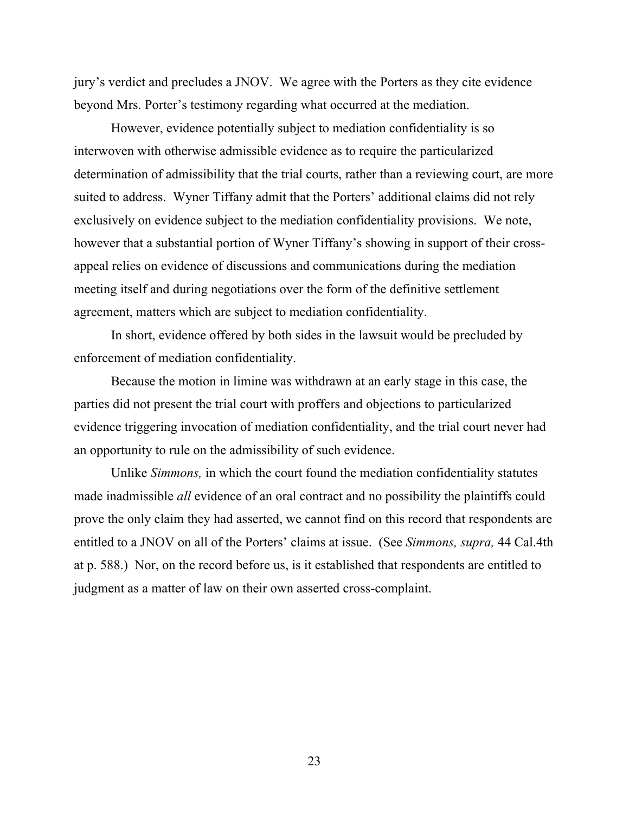jury's verdict and precludes a JNOV. We agree with the Porters as they cite evidence beyond Mrs. Porter's testimony regarding what occurred at the mediation.

However, evidence potentially subject to mediation confidentiality is so interwoven with otherwise admissible evidence as to require the particularized determination of admissibility that the trial courts, rather than a reviewing court, are more suited to address. Wyner Tiffany admit that the Porters' additional claims did not rely exclusively on evidence subject to the mediation confidentiality provisions. We note, however that a substantial portion of Wyner Tiffany's showing in support of their crossappeal relies on evidence of discussions and communications during the mediation meeting itself and during negotiations over the form of the definitive settlement agreement, matters which are subject to mediation confidentiality.

In short, evidence offered by both sides in the lawsuit would be precluded by enforcement of mediation confidentiality.

Because the motion in limine was withdrawn at an early stage in this case, the parties did not present the trial court with proffers and objections to particularized evidence triggering invocation of mediation confidentiality, and the trial court never had an opportunity to rule on the admissibility of such evidence.

Unlike *Simmons,* in which the court found the mediation confidentiality statutes made inadmissible *all* evidence of an oral contract and no possibility the plaintiffs could prove the only claim they had asserted, we cannot find on this record that respondents are entitled to a JNOV on all of the Porters' claims at issue. (See *Simmons, supra,* 44 Cal.4th at p. 588.) Nor, on the record before us, is it established that respondents are entitled to judgment as a matter of law on their own asserted cross-complaint.